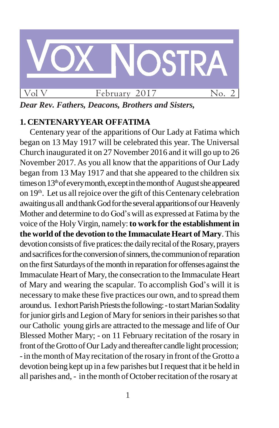

*Dear Rev. Fathers, Deacons, Brothers and Sisters,*

# **1. CENTENARYYEAR OFFATIMA**

Centenary year of the apparitions of Our Lady at Fatima which began on 13 May 1917 will be celebrated this year. The Universal Church inaugurated it on 27 November 2016 and it will go up to 26 November 2017. As you all know that the apparitions of Our Lady began from 13 May 1917 and that she appeared to the children six times on 13<sup>th</sup> of every month, except in the month of August she appeared on 19<sup>th</sup>. Let us all rejoice over the gift of this Centenary celebration awaiting us all and thank God for the several apparitions of our Heavenly Mother and determine to do God's will as expressed at Fatima by the voice of the Holy Virgin, namely:**to work for the establishment in the world of the devotion to the Immaculate Heart of Mary**.This devotion consists of five pratices: the daily recital of the Rosary, prayers and sacrifices for the conversion of sinners, the communion of reparation on the first Saturdays of the month in reparation for offenses against the Immaculate Heart of Mary, the consecration to the Immaculate Heart of Mary and wearing the scapular. To accomplish God's will it is necessary to make these five practices our own, and to spread them aroundus. I exhort Parish Priests the following: - to start Marian Sodality for junior girls and Legion of Mary for seniors in their parishes so that our Catholic young girls are attracted to the message and life of Our Blessed Mother Mary; - on 11 February recitation of the rosary in front of the Grotto of Our Lady and thereafter candle light procession; - in the month of May recitation of the rosary in front of the Grotto a devotion being kept up in a few parishes but I request that it be held in all parishes and, - in the month of October recitation of the rosary at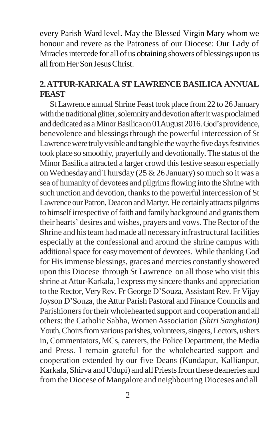every Parish Ward level. May the Blessed Virgin Mary whom we honour and revere as the Patroness of our Diocese: Our Lady of Miraclesintercede for all of us obtaining showers of blessings upon us allfromHer Son JesusChrist.

## **2.ATTUR-KARKALA ST LAWRENCE BASILICA ANNUAL FEAST**

St Lawrence annual Shrine Feast took place from22 to 26 January with the traditional glitter, solemnity and devotion after it was proclaimed and dedicated as a Minor Basilica on 01 August 2016. God's providence, benevolence and blessings through the powerful intercession of St Lawrence were truly visible and tangible the way the five days festivities took place so smoothly, prayerfully and devotionally. The status of the Minor Basilica attracted a larger crowd this festive season especially on Wednesday and Thursday ( $25 \& 26$  January) so much so it was a sea of humanity of devotees and pilgrims flowing into the Shrine with such unction and devotion, thanks to the powerful intercession of St Lawrence our Patron, Deacon and Martyr. He certainly attracts pilgrims to himself irrespective of faith and family background and grants them their hearts' desires and wishes, prayers and vows.The Rector of the Shrine and histeam had made all necessary infrastructural facilities especially at the confessional and around the shrine campus with additional space for easy movement of devotees. While thanking God for Hisimmense blessings, graces and mercies constantly showered upon this Diocese through St Lawrence on all those who visit this shrine at Attur-Karkala, I express my sincere thanks and appreciation to the Rector, Very Rev. Fr George D'Souza, Assistant Rev. Fr Vijay Joyson D'Souza, the Attur Parish Pastoral and Finance Councils and Parishioners for their wholehearted support and cooperation and all others: the Catholic Sabha, WomenAssociation *(Shtri Sanghatan)*  Youth, Choirs from various parishes, volunteers, singers, Lectors, ushers in, Commentators, MCs, caterers, the Police Department, the Media and Press. I remain grateful for the wholehearted support and cooperation extended by our five Deans (Kundapur, Kallianpur, Karkala, Shirva and Udupi) and all Priests from these deaneries and from the Diocese of Mangalore and neighbouring Dioceses and all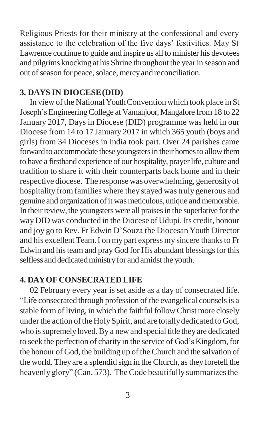Religious Priests for their ministry at the confessional and every assistance to the celebration of the five days' festivities. May St Lawrence continue to guide and inspire us all to minister his devotees and pilgrims knocking at his Shrine throughout the yearin season and out of season for peace, solace, mercy and reconciliation.

### **3. DAYS IN DIOCESE(DID)**

In view of the National Youth Convention which took place in St Joseph'sEngineeringCollege at Vamanjoor,Mangalore from 18 to 22 January 2017, Days in Diocese (DID) programme was held in our Diocese from 14 to 17 January 2017 in which 365 youth (boys and girls) from 34 Dioceses in India took part. Over 24 parishes came forward to accommodate these youngsters in their homes to allow them to have a firsthand experience of our hospitality, prayer life, culture and tradition to share it with their counterparts back home and in their respective diocese. The responsewas overwhelming, generosityof hospitality from families where they stayed wastruly generous and genuine and organization of it was meticulous, unique and memorable. In their review, the youngsters were all praises in the superlative for the wayDID was conducted in the Diocese of Udupi. Its credit, honour and joy go to Rev. Fr Edwin D'Souza the Diocesan Youth Director and his excellent Team.I on my part express my sincere thanksto Fr Edwin and his team and pray God for His abundant blessings for this selfless and dedicated ministry for and amidst the youth.

#### **4. DAYOFCONSECRATED LIFE**

02 February every year is set aside as a day of consecrated life. "Life consecrated through profession of the evangelical counselsis a stable form of living, in which the faithful follow Christ more closely under the action of the Holy Spirit, and are totally dedicated to God, who is supremely loved. By a new and special title they are dedicated to seek the perfection of charity in the service of God's Kingdom, for the honour of God, the building up of theChurch and the salvation of the world. Theyare a splendid sign in the Church, asthey foretell the heavenly glory" (Can. 573). The Code beautifully summarizes the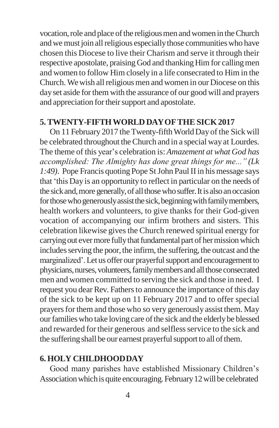vocation, role and place of the religious men and women in the Church and we must join all religious especially those communities who have chosen this Diocese to live their Charism and serve it through their respective apostolate, praising God and thanking Him for calling men and women to follow Him closely in a life consecrated to Him in the Church. We wish all religious men and women in our Diocese on this dayset aside forthem with the assurance of our good will and prayers and appreciation for their support and apostolate.

#### **5.TWENTY-FIFTHWORLD DAYOFTHE SICK2017**

On 11 February 2017 the Twenty-fifth World Day of the Sick will be celebrated throughout theChurch and in a special wayat Lourdes. The theme of this year's celebration is: *Amazement at what God has accomplished: The Almighty has done great things for me..." (Lk 1:49*). Pope Francis quoting Pope St John Paul II in his message says that 'this Day is an opportunity to reflect in particular on the needs of the sickand,more generally,of allthosewhosuffer.Itisalsoanoccasion for those who generously assist the sick, beginning with family members, health workers and volunteers, to give thanks for their God-given vocation of accompanying our infirm brothers and sisters. This celebration likewise gives the Church renewed spiritual energy for carrying out ever more fully that fundamental part of her mission which includes serving the poor, the infirm, the suffering, the outcast and the marginalized'. Let us offer our prayerful support and encouragement to physicians, nurses, volunteers, family members and all those consecrated men and women committed to serving the sick and those in need. I request you dear Rev. Fathers to announce the importance of this day of the sick to be kept up on 11 February 2017 and to offer special prayers for them and those who so very generously assist them. May our families who take loving care of the sick and the elderly be blessed and rewarded for their generous and selfless service to the sick and the suffering shall be our earnest prayerful support to all of them.

#### **6. HOLY CHILDHOODDAY**

Good many parishes have established Missionary Children's Association which is quite encouraging. February 12 will be celebrated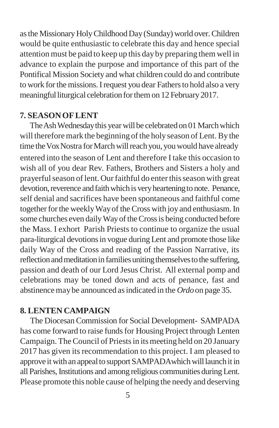as the Missionary Holy Childhood Day (Sunday) world over. Children would be quite enthusiastic to celebrate this day and hence special attention must be paid to keep up this dayby preparing them well in advance to explain the purpose and importance of this part of the Pontifical Mission Society and what children could do and contribute to work for the missions. I request you dear Fathers to hold also a very meaningful liturgical celebration for them on 12 February 2017.

#### **7. SEASONOFLENT**

The Ash Wednesday this year will be celebrated on 01 March which will therefore mark the beginning of the holy season of Lent. By the time the Vox Nostra for March will reach you, you would have already entered into the season of Lent and therefore I take this occasion to wish all of you dear Rev. Fathers, Brothers and Sisters a holy and prayerful season of lent. Our faithful do enter this season with great devotion, reverence and faith which is very heartening to note. Penance, self denial and sacrifices have been spontaneous and faithful come together for the weekly Way of the Cross with joy and enthusiasm. In some churches even daily Way of the Cross is being conducted before the Mass. I exhort Parish Priests to continue to organize the usual para-liturgical devotionsin vogue during Lent and promote those like daily Way of the Cross and reading of the Passion Narrative, its reflection and meditation in families uniting themselves to the suffering, passion and death of our Lord Jesus Christ. All external pomp and celebrations may be toned down and acts of penance, fast and abstinence may be announced as indicated in the *Ordo* on page 35.

#### **8. LENTEN CAMPAIGN**

The Diocesan Commission for Social Development- SAMPADA has come forward to raise funds for Housing Project through Lenten Campaign. The Council of Priests in its meeting held on 20 January 2017 has given its recommendation to this project. I am pleased to approve it with an appeal to support SAMPADAwhich will launch it in all Parishes, Institutions and among religious communities during Lent. Please promote this noble cause of helping the needyand deserving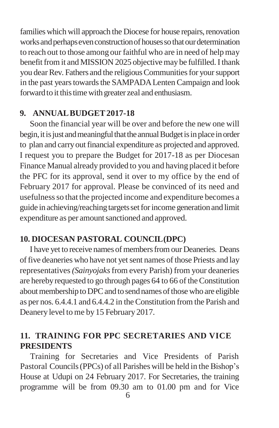families which will approach the Diocese for house repairs, renovation works and perhaps even construction of houses so that our determination to reach out to those among our faithful who are in need of helpmay benefit from it and MISSION 2025 objective may be fulfilled. I thank you dear Rev. Fathers and the religious Communities for your support in the past years towards the SAMPADA Lenten Campaign and look forward to it this time with greater zeal and enthusiasm.

## **9. ANNUALBUDGET2017-18**

Soon the financial year will be over and before the new one will begin, it is just and meaningful that the annual Budget is in place in order to plan and carryoutfinancial expenditure as projected and approved. I request you to prepare the Budget for 2017-18 as per Diocesan Finance Manual already provided to you and having placed it before the PFC for its approval, send it over to my office by the end of February 2017 for approval. Please be convinced of its need and usefulness so that the projected income and expenditure becomes a guide in achieving/reaching targets set for income generation and limit expenditure as per amount sanctioned and approved.

## **10. DIOCESAN PASTORAL COUNCIL(DPC)**

I have yet to receive names of members from our Deaneries. Deans of five deaneries who have not yet sent names of those Priests and lay representatives*(Sainyojaks*from every Parish) from your deaneries are hereby requested to go through pages 64 to 66 of the Constitution about membership to DPC and to send names of those who are eligible as per nos. 6.4.4.1 and 6.4.4.2 in theConstitution from the Parish and Deanery level to me by 15 February 2017.

# **11. TRAINING FOR PPC SECRETARIES AND VICE PRESIDENTS**

Training for Secretaries and Vice Presidents of Parish Pastoral Councils(PPCs) of all Parishes will be held in the Bishop's House at Udupi on 24 February 2017. For Secretaries, the training programme will be from 09.30 am to 01.00 pm and for Vice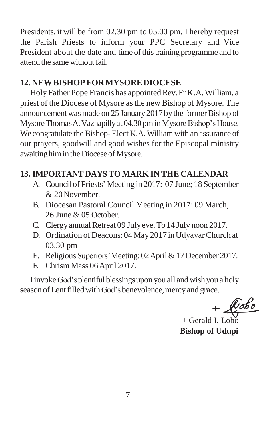Presidents, it will be from 02.30 pm to 05.00 pm. I hereby request the Parish Priests to inform your PPC Secretary and Vice President about the date and time of this training programme and to attend the same without fail.

# **12. NEWBISHOPFORMYSOREDIOCESE**

Holy Father Pope Francis has appointed Rev. Fr K.A. William, a priest of the Diocese of Mysore asthe new Bishop of Mysore. The announcement was made on 25 January 2017 by the former Bishop of Mysore Thomas A. Vazhapilly at 04.30 pm in Mysore Bishop's House. We congratulate the Bishop-Elect K.A. William with an assurance of our prayers, goodwill and good wishes for the Episcopal ministry awaiting him in the Diocese of Mysore.

# **13. IMPORTANT DAYSTO MARK IN THE CALENDAR**

- A. Council of Priests' Meeting in 2017: 07 June; 18 September & 20November.
- B. Diocesan Pastoral Council Meeting in 2017: 09 March, 26 June & 05 October.
- C. Clergy annual Retreat 09 July eve. To 14 July noon 2017.
- D. Ordination of Deacons: 04 May 2017 in Udyavar Church at 03.30 pm
- E. Religious Superiors' Meeting: 02 April & 17 December 2017.
- F. Chrism Mass 06April 2017.

IinvokeGod'splentiful blessingsupon you all andwish you a holy season of Lent filled with God's benevolence, mercy and grace.<br>  $+$   $\sqrt{\mathcal{C}b\mathcal{C}}$ 

 $+$  Gerald I. Lobo **Bishop of Udupi**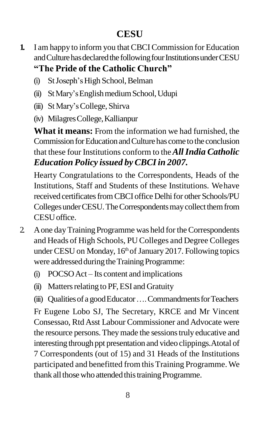# **CESU**

- **1.** I am happy to inform you that CBCICommission for Education and Culture has declared the following four Institutions under CESU **"The Pride of the Catholic Church"**
	- (i) St Joseph's High School, Belman
	- (ii) StMary'sEnglishmediumSchool,Udupi
	- (iii) St Mary'sCollege, Shirva
	- (iv) MilagresCollege,Kallianpur

**What it means:** From the information we had furnished, the Commission for Education and Culture has come to the conclusion that these four Institutions conform to the*AllIndia Catholic Education Policy issued by CBCIin 2007.*

Hearty Congratulations to the Correspondents, Heads of the Institutions, Staff and Students of these Institutions. Wehave received certificates from CBCI office Delhi for other Schools/PU Colleges under CESU. The Correspondents may collect them from CESUoffice.

- 2 A one day Training Programme was held for the Correspondents and Heads of High Schools, PU Colleges and Degree Colleges under CESU on Monday,  $16<sup>th</sup>$  of January 2017. Following topics were addressed during the Training Programme:
	- (i) POCSOAct Its content and implications
	- $(ii)$  Matters relating to PF, ESI and Gratuity

(iii) Qualitiesof a goodEducator….CommandmentsforTeachers Fr Eugene Lobo SJ, The Secretary, KRCE and Mr Vincent Consessao, Rtd Asst Labour Commissioner and Advocate were the resource persons.Theymade the sessionstruly educative and interesting through ppt presentation and video clippings.Atotal of 7 Correspondents (out of 15) and 31 Heads of the Institutions participated and benefitted from this Training Programme. We thank all those who attended this training Programme.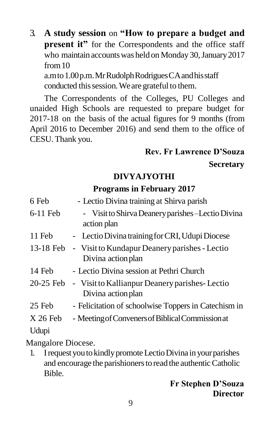3. **A study session** on **"How to prepare a budget and present it**" for the Correspondents and the office staff who maintain accounts was held on Monday 30, January 2017 from10 a.mto1.00p.m.MrRudolphRodriguesCAandhisstaff

conducted this session. We are grateful to them.

The Correspondents of the Colleges, PU Colleges and unaided High Schools are requested to prepare budget for 2017-18 on the basis of the actual figures for 9 months (from April 2016 to December 2016) and send them to the office of CESU.Thank you.

## **Rev. Fr Lawrence D'Souza**

**Secretary**

# **DIVYAJYOTHI**

# **Programs in February 2017**

| 6 Feb      | - Lectio Divina training at Shirva parish                                     |
|------------|-------------------------------------------------------------------------------|
| $6-11$ Feb | - Visit to Shirva Deanery parishes – Lectio Divina<br>action plan             |
| 11 Feb     | - Lectio Divina training for CRI, Udupi Diocese                               |
| 13-18 Feb  | - Visit to Kundapur Deanery parishes - Lectio<br>Divina action plan           |
| 14 Feb     | - Lectio Divina session at Pethri Church                                      |
|            | 20-25 Feb - Visit to Kallianpur Deanery parishes-Lectio<br>Divina action plan |
| 25 Feb     | - Felicitation of schoolwise Toppers in Catechism in                          |
| $X26$ Feb  | - Meeting of Conveners of Biblical Commission at                              |
| Udupi      |                                                                               |
|            |                                                                               |

Mangalore Diocese.

1. IrequestyoutokindlypromoteLectioDivina in yourparishes and encourage the parishioners to read the authentic Catholic Bible.

## **Fr Stephen D'Souza Director**